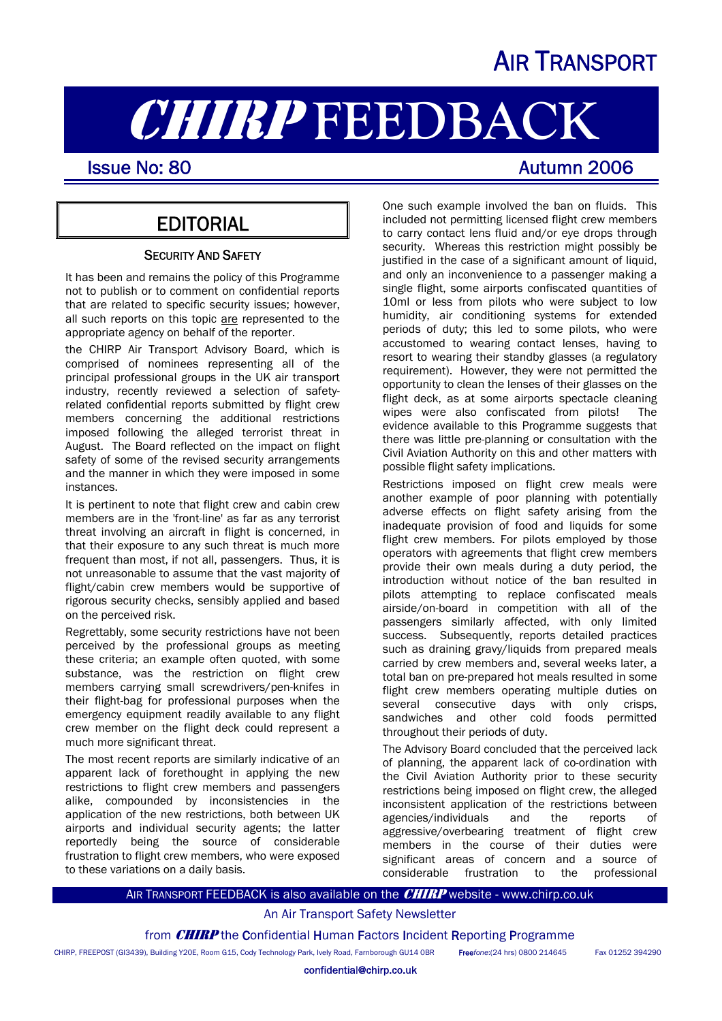# AIR TRANSPORT

# **CHIRP FEEDBACK**<br>Issue No: 80

I

## **EDITORIAL**

#### **SECURITY AND SAFETY**

It has been and remains the policy of this Programme not to publish or to comment on confidential reports that are related to specific security issues; however, all such reports on this topic are represented to the appropriate agency on behalf of the reporter.

the CHIRP Air Transport Advisory Board, which is comprised of nominees representing all of the principal professional groups in the UK air transport industry, recently reviewed a selection of safetyrelated confidential reports submitted by flight crew members concerning the additional restrictions imposed following the alleged terrorist threat in August. The Board reflected on the impact on flight safety of some of the revised security arrangements and the manner in which they were imposed in some instances.

It is pertinent to note that flight crew and cabin crew members are in the 'front-line' as far as any terrorist threat involving an aircraft in flight is concerned, in that their exposure to any such threat is much more frequent than most, if not all, passengers. Thus, it is not unreasonable to assume that the vast majority of flight/cabin crew members would be supportive of rigorous security checks, sensibly applied and based on the perceived risk.

Regrettably, some security restrictions have not been perceived by the professional groups as meeting these criteria; an example often quoted, with some substance, was the restriction on flight crew members carrying small screwdrivers/pen-knifes in their flight-bag for professional purposes when the emergency equipment readily available to any flight crew member on the flight deck could represent a much more significant threat.

The most recent reports are similarly indicative of an apparent lack of forethought in applying the new restrictions to flight crew members and passengers alike, compounded by inconsistencies in the application of the new restrictions, both between UK airports and individual security agents; the latter reportedly being the source of considerable frustration to flight crew members, who were exposed to these variations on a daily basis.

One such example involved the ban on fluids. This included not permitting licensed flight crew members to carry contact lens fluid and/or eye drops through security. Whereas this restriction might possibly be justified in the case of a significant amount of liquid, and only an inconvenience to a passenger making a single flight, some airports confiscated quantities of 10ml or less from pilots who were subject to low humidity, air conditioning systems for extended periods of duty; this led to some pilots, who were accustomed to wearing contact lenses, having to resort to wearing their standby glasses (a regulatory requirement). However, they were not permitted the opportunity to clean the lenses of their glasses on the flight deck, as at some airports spectacle cleaning wipes were also confiscated from pilots! The evidence available to this Programme suggests that there was little pre-planning or consultation with the Civil Aviation Authority on this and other matters with possible flight safety implications.

Restrictions imposed on flight crew meals were another example of poor planning with potentially adverse effects on flight safety arising from the inadequate provision of food and liquids for some flight crew members. For pilots employed by those operators with agreements that flight crew members provide their own meals during a duty period, the introduction without notice of the ban resulted in pilots attempting to replace confiscated meals airside/on-board in competition with all of the passengers similarly affected, with only limited success. Subsequently, reports detailed practices such as draining gravy/liquids from prepared meals carried by crew members and, several weeks later, a total ban on pre-prepared hot meals resulted in some flight crew members operating multiple duties on several consecutive days with only crisps, sandwiches and other cold foods permitted throughout their periods of duty.

The Advisory Board concluded that the perceived lack of planning, the apparent lack of co-ordination with the Civil Aviation Authority prior to these security restrictions being imposed on flight crew, the alleged inconsistent application of the restrictions between agencies/individuals and the reports of aggressive/overbearing treatment of flight crew members in the course of their duties were significant areas of concern and a source of considerable frustration to the professional

#### AIR TRANSPORT FEEDBACK is also available on the **CHIRP** website - www.chirp.co.uk

#### An Air Transport Safety Newsletter

from **CHIRP** the Confidential Human Factors Incident Reporting Programme

CHIRP, FREEPOST (GI3439), Building Y20E, Room G15, Cody Technology Park, Ively Road, Farnborough GU14 0BR Free*fone*:(24 hrs) 0800 214645 Fax 01252 394290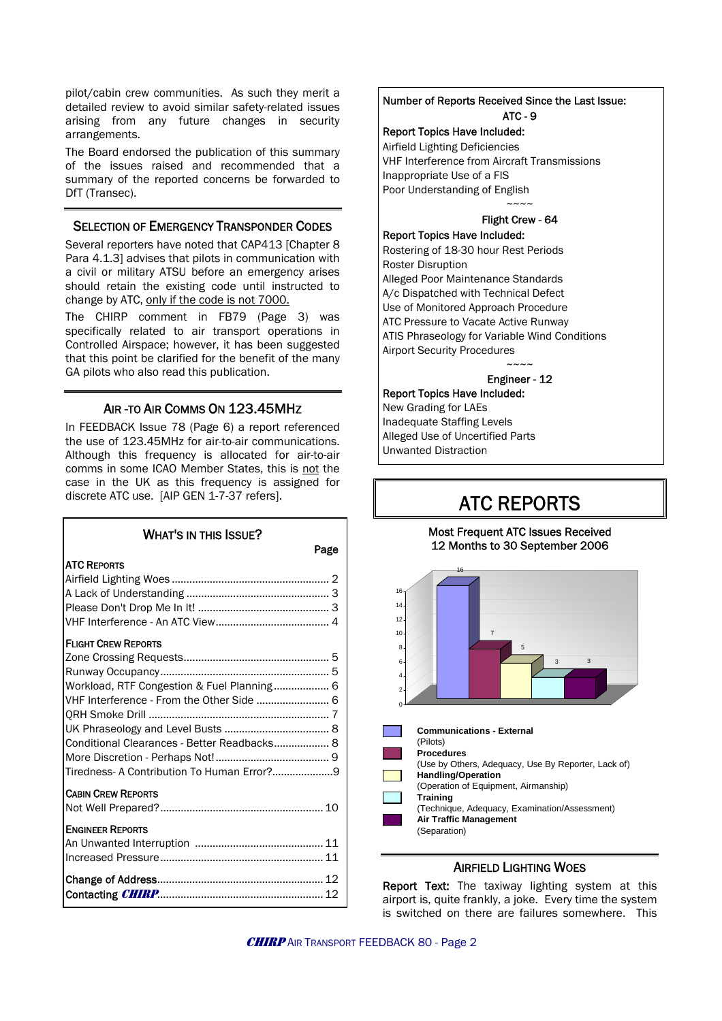pilot/cabin crew communities. As such they merit a detailed review to avoid similar safety-related issues arising from any future changes in security arrangements.

The Board endorsed the publication of this summary of the issues raised and recommended that a summary of the reported concerns be forwarded to DfT (Transec).

#### SELECTION OF EMERGENCY TRANSPONDER CODES

Several reporters have noted that CAP413 [Chapter 8 Para 4.1.3] advises that pilots in communication with a civil or military ATSU before an emergency arises should retain the existing code until instructed to change by ATC, only if the code is not 7000.

The CHIRP comment in FB79 (Page 3) was specifically related to air transport operations in Controlled Airspace; however, it has been suggested that this point be clarified for the benefit of the many GA pilots who also read this publication.

#### AIR -TO AIR COMMS ON 123.45MHZ

In FEEDBACK Issue 78 (Page 6) a report referenced the use of 123.45MHz for air-to-air communications. Although this frequency is allocated for air-to-air comms in some ICAO Member States, this is not the case in the UK as this frequency is assigned for discrete ATC use. [AIP GEN 1-7-37 refers].

# WHAT'S IN THIS ISSUE?

| <b>ATC REPORTS</b>                          |  |
|---------------------------------------------|--|
|                                             |  |
|                                             |  |
|                                             |  |
|                                             |  |
| <b>FLIGHT CREW REPORTS</b>                  |  |
|                                             |  |
|                                             |  |
| Workload, RTF Congestion & Fuel Planning 6  |  |
|                                             |  |
|                                             |  |
|                                             |  |
| Conditional Clearances - Better Readbacks 8 |  |
|                                             |  |
|                                             |  |
| <b>CABIN CREW REPORTS</b>                   |  |
|                                             |  |
| <b>ENGINEER REPORTS</b>                     |  |
|                                             |  |
|                                             |  |
|                                             |  |
|                                             |  |
|                                             |  |

#### Number of Reports Received Since the Last Issue: ATC - 9

#### Report Topics Have Included:

Airfield Lighting Deficiencies VHF Interference from Aircraft Transmissions Inappropriate Use of a FIS Poor Understanding of English  $\sim\sim\sim\sim$ 

#### Flight Crew - 64

Report Topics Have Included: Rostering of 18-30 hour Rest Periods Roster Disruption Alleged Poor Maintenance Standards A/c Dispatched with Technical Defect Use of Monitored Approach Procedure ATC Pressure to Vacate Active Runway ATIS Phraseology for Variable Wind Conditions Airport Security Procedures  $\sim\sim\sim\sim$ 

#### Engineer - 12

#### Report Topics Have Included:

New Grading for LAEs Inadequate Staffing Levels Alleged Use of Uncertified Parts Unwanted Distraction

# ATC REPORTS

#### Most Frequent ATC Issues Received 12 Months to 30 September 2006



#### AIRFIELD LIGHTING WOES

Report Text: The taxiway lighting system at this airport is, quite frankly, a joke. Every time the system is switched on there are failures somewhere. This

Page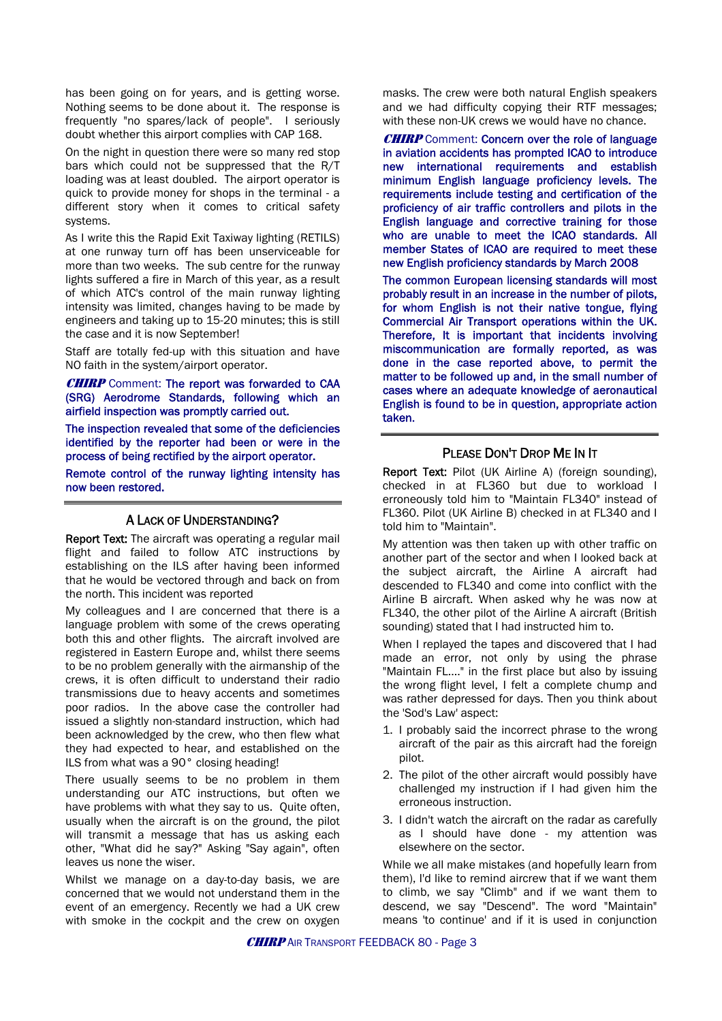has been going on for years, and is getting worse. Nothing seems to be done about it. The response is frequently "no spares/lack of people". I seriously doubt whether this airport complies with CAP 168.

On the night in question there were so many red stop bars which could not be suppressed that the R/T loading was at least doubled. The airport operator is quick to provide money for shops in the terminal - a different story when it comes to critical safety systems.

As I write this the Rapid Exit Taxiway lighting (RETILS) at one runway turn off has been unserviceable for more than two weeks. The sub centre for the runway lights suffered a fire in March of this year, as a result of which ATC's control of the main runway lighting intensity was limited, changes having to be made by engineers and taking up to 15-20 minutes; this is still the case and it is now September!

Staff are totally fed-up with this situation and have NO faith in the system/airport operator.

CHIRP Comment: The report was forwarded to CAA (SRG) Aerodrome Standards, following which an airfield inspection was promptly carried out.

The inspection revealed that some of the deficiencies identified by the reporter had been or were in the process of being rectified by the airport operator.

Remote control of the runway lighting intensity has now been restored.

#### A LACK OF UNDERSTANDING?

Report Text: The aircraft was operating a regular mail flight and failed to follow ATC instructions by establishing on the ILS after having been informed that he would be vectored through and back on from the north. This incident was reported

My colleagues and I are concerned that there is a language problem with some of the crews operating both this and other flights. The aircraft involved are registered in Eastern Europe and, whilst there seems to be no problem generally with the airmanship of the crews, it is often difficult to understand their radio transmissions due to heavy accents and sometimes poor radios. In the above case the controller had issued a slightly non-standard instruction, which had been acknowledged by the crew, who then flew what they had expected to hear, and established on the ILS from what was a 90° closing heading!

There usually seems to be no problem in them understanding our ATC instructions, but often we have problems with what they say to us. Quite often, usually when the aircraft is on the ground, the pilot will transmit a message that has us asking each other, "What did he say?" Asking "Say again", often leaves us none the wiser.

Whilst we manage on a day-to-day basis, we are concerned that we would not understand them in the event of an emergency. Recently we had a UK crew with smoke in the cockpit and the crew on oxygen

masks. The crew were both natural English speakers and we had difficulty copying their RTF messages; with these non-UK crews we would have no chance.

**CHIRP** Comment: Concern over the role of language in aviation accidents has prompted ICAO to introduce new international requirements and establish minimum English language proficiency levels. The requirements include testing and certification of the proficiency of air traffic controllers and pilots in the English language and corrective training for those who are unable to meet the ICAO standards. All member States of ICAO are required to meet these new English proficiency standards by March 2008

The common European licensing standards will most probably result in an increase in the number of pilots, for whom English is not their native tongue, flying Commercial Air Transport operations within the UK. Therefore, It is important that incidents involving miscommunication are formally reported, as was done in the case reported above, to permit the matter to be followed up and, in the small number of cases where an adequate knowledge of aeronautical English is found to be in question, appropriate action taken.

#### PLEASE DON'T DROP ME IN IT

Report Text: Pilot (UK Airline A) (foreign sounding), checked in at FL360 but due to workload I erroneously told him to "Maintain FL340" instead of FL360. Pilot (UK Airline B) checked in at FL340 and I told him to "Maintain".

My attention was then taken up with other traffic on another part of the sector and when I looked back at the subject aircraft, the Airline A aircraft had descended to FL340 and come into conflict with the Airline B aircraft. When asked why he was now at FL340, the other pilot of the Airline A aircraft (British sounding) stated that I had instructed him to.

When I replayed the tapes and discovered that I had made an error, not only by using the phrase "Maintain FL...." in the first place but also by issuing the wrong flight level, I felt a complete chump and was rather depressed for days. Then you think about the 'Sod's Law' aspect:

- 1. I probably said the incorrect phrase to the wrong aircraft of the pair as this aircraft had the foreign pilot.
- 2. The pilot of the other aircraft would possibly have challenged my instruction if I had given him the erroneous instruction.
- 3. I didn't watch the aircraft on the radar as carefully as I should have done - my attention was elsewhere on the sector.

While we all make mistakes (and hopefully learn from them), I'd like to remind aircrew that if we want them to climb, we say "Climb" and if we want them to descend, we say "Descend". The word "Maintain" means 'to continue' and if it is used in conjunction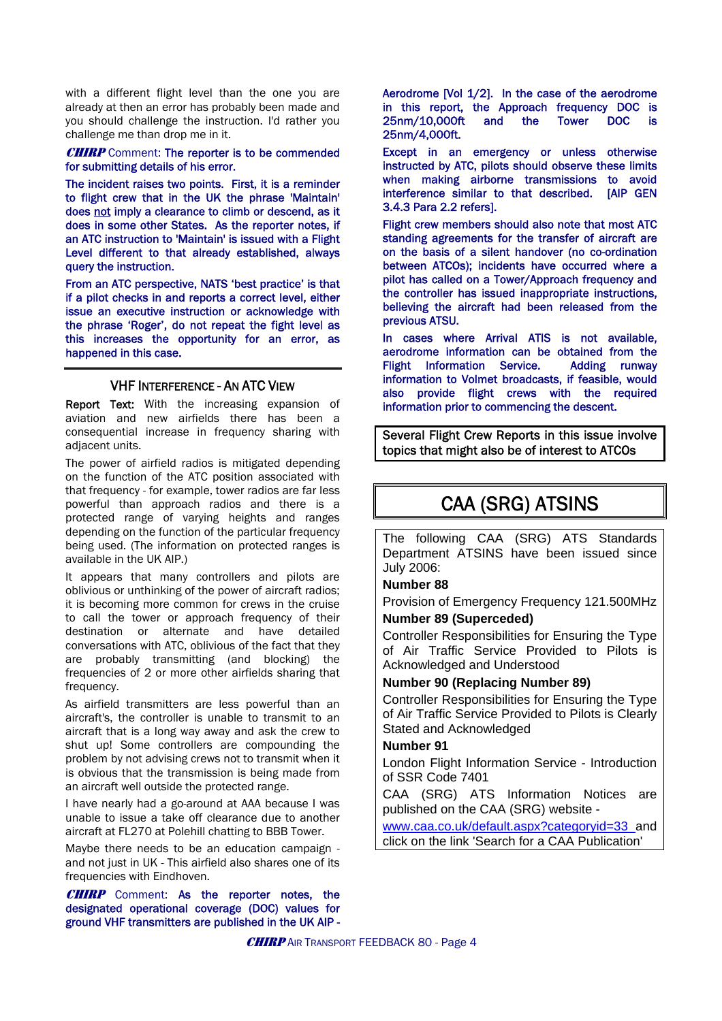with a different flight level than the one you are already at then an error has probably been made and you should challenge the instruction. I'd rather you challenge me than drop me in it.

#### **CHIRP** Comment: The reporter is to be commended for submitting details of his error.

The incident raises two points. First, it is a reminder to flight crew that in the UK the phrase 'Maintain' does not imply a clearance to climb or descend, as it does in some other States. As the reporter notes, if an ATC instruction to 'Maintain' is issued with a Flight Level different to that already established, always query the instruction.

From an ATC perspective, NATS 'best practice' is that if a pilot checks in and reports a correct level, either issue an executive instruction or acknowledge with the phrase 'Roger', do not repeat the fight level as this increases the opportunity for an error, as happened in this case.

#### VHF INTERFERENCE - AN ATC VIEW

Report Text: With the increasing expansion of aviation and new airfields there has been a consequential increase in frequency sharing with adiacent units.

The power of airfield radios is mitigated depending on the function of the ATC position associated with that frequency - for example, tower radios are far less powerful than approach radios and there is a protected range of varying heights and ranges depending on the function of the particular frequency being used. (The information on protected ranges is available in the UK AIP.)

It appears that many controllers and pilots are oblivious or unthinking of the power of aircraft radios; it is becoming more common for crews in the cruise to call the tower or approach frequency of their destination or alternate and have detailed conversations with ATC, oblivious of the fact that they are probably transmitting (and blocking) the frequencies of 2 or more other airfields sharing that frequency.

As airfield transmitters are less powerful than an aircraft's, the controller is unable to transmit to an aircraft that is a long way away and ask the crew to shut up! Some controllers are compounding the problem by not advising crews not to transmit when it is obvious that the transmission is being made from an aircraft well outside the protected range.

I have nearly had a go-around at AAA because I was unable to issue a take off clearance due to another aircraft at FL270 at Polehill chatting to BBB Tower.

Maybe there needs to be an education campaign and not just in UK - This airfield also shares one of its frequencies with Eindhoven.

**CHIRP** Comment: As the reporter notes, the designated operational coverage (DOC) values for ground VHF transmitters are published in the UK AIP -

Aerodrome [Vol 1/2]. In the case of the aerodrome in this report, the Approach frequency DOC is 25nm/10,000ft and the Tower DOC is 25nm/4,000ft.

Except in an emergency or unless otherwise instructed by ATC, pilots should observe these limits when making airborne transmissions to avoid interference similar to that described. [AIP GEN 3.4.3 Para 2.2 refers].

Flight crew members should also note that most ATC standing agreements for the transfer of aircraft are on the basis of a silent handover (no co-ordination between ATCOs); incidents have occurred where a pilot has called on a Tower/Approach frequency and the controller has issued inappropriate instructions, believing the aircraft had been released from the previous ATSU.

In cases where Arrival ATIS is not available, aerodrome information can be obtained from the Flight Information Service. Adding runway information to Volmet broadcasts, if feasible, would also provide flight crews with the required information prior to commencing the descent.

Several Flight Crew Reports in this issue involve topics that might also be of interest to ATCOs

# CAA (SRG) ATSINS

The following CAA (SRG) ATS Standards Department ATSINS have been issued since July 2006:

#### **Number 88**

Provision of Emergency Frequency 121.500MHz **Number 89 (Superceded)**

Controller Responsibilities for Ensuring the Type of Air Traffic Service Provided to Pilots is Acknowledged and Understood

#### **Number 90 (Replacing Number 89)**

Controller Responsibilities for Ensuring the Type of Air Traffic Service Provided to Pilots is Clearly Stated and Acknowledged

#### **Number 91**

London Flight Information Service - Introduction of SSR Code 7401

CAA (SRG) ATS Information Notices are published on the CAA (SRG) website -

[www.caa.co.uk/default.aspx?categoryid=33](http://www.caa.co.uk/default.aspx?categoryid=33) and click on the link 'Search for a CAA Publication'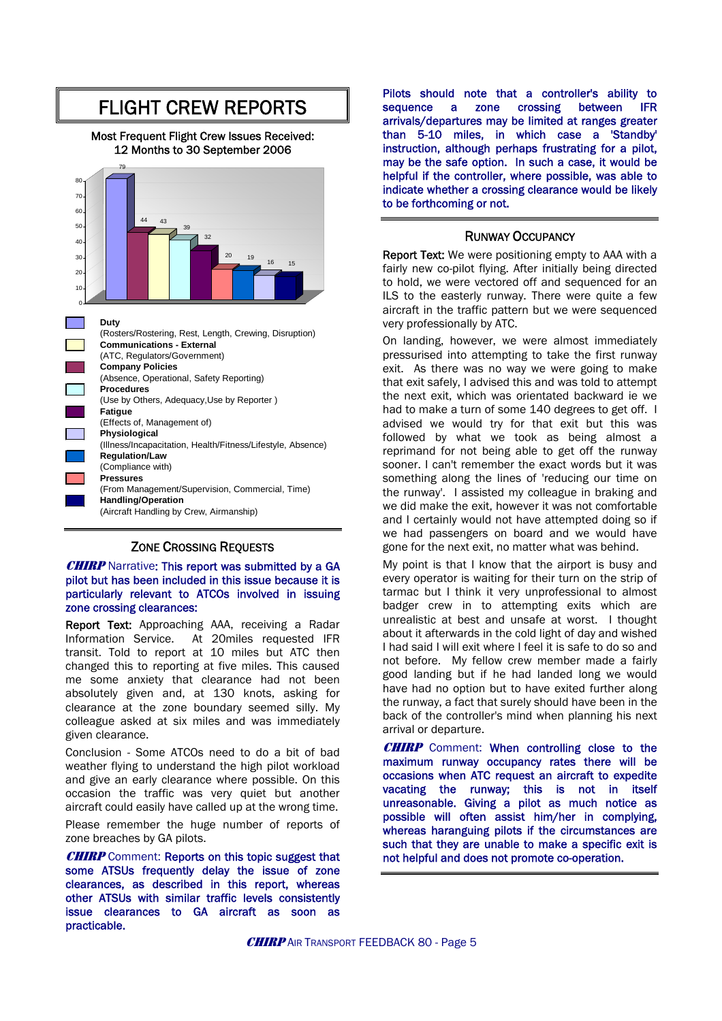# FLIGHT CREW REPORTS

Most Frequent Flight Crew Issues Received: 12 Months to 30 September 2006



#### ZONE CROSSING REQUESTS

#### **CHIRP** Narrative: This report was submitted by a GA pilot but has been included in this issue because it is particularly relevant to ATCOs involved in issuing zone crossing clearances:

Report Text: Approaching AAA, receiving a Radar Information Service. At 20miles requested IFR transit. Told to report at 10 miles but ATC then changed this to reporting at five miles. This caused me some anxiety that clearance had not been absolutely given and, at 130 knots, asking for clearance at the zone boundary seemed silly. My colleague asked at six miles and was immediately given clearance.

Conclusion - Some ATCOs need to do a bit of bad weather flying to understand the high pilot workload and give an early clearance where possible. On this occasion the traffic was very quiet but another aircraft could easily have called up at the wrong time.

Please remember the huge number of reports of zone breaches by GA pilots.

**CHIRP** Comment: Reports on this topic suggest that some ATSUs frequently delay the issue of zone clearances, as described in this report, whereas other ATSUs with similar traffic levels consistently issue clearances to GA aircraft as soon as practicable.

Pilots should note that a controller's ability to sequence a zone crossing between IFR arrivals/departures may be limited at ranges greater than 5-10 miles, in which case a 'Standby' instruction, although perhaps frustrating for a pilot, may be the safe option. In such a case, it would be helpful if the controller, where possible, was able to indicate whether a crossing clearance would be likely to be forthcoming or not.

#### RUNWAY OCCUPANCY

Report Text: We were positioning empty to AAA with a fairly new co-pilot flying. After initially being directed to hold, we were vectored off and sequenced for an ILS to the easterly runway. There were quite a few aircraft in the traffic pattern but we were sequenced very professionally by ATC.

On landing, however, we were almost immediately pressurised into attempting to take the first runway exit. As there was no way we were going to make that exit safely, I advised this and was told to attempt the next exit, which was orientated backward ie we had to make a turn of some 140 degrees to get off. I advised we would try for that exit but this was followed by what we took as being almost a reprimand for not being able to get off the runway sooner. I can't remember the exact words but it was something along the lines of 'reducing our time on the runway'. I assisted my colleague in braking and we did make the exit, however it was not comfortable and I certainly would not have attempted doing so if we had passengers on board and we would have gone for the next exit, no matter what was behind.

My point is that I know that the airport is busy and every operator is waiting for their turn on the strip of tarmac but I think it very unprofessional to almost badger crew in to attempting exits which are unrealistic at best and unsafe at worst. I thought about it afterwards in the cold light of day and wished I had said I will exit where I feel it is safe to do so and not before. My fellow crew member made a fairly good landing but if he had landed long we would have had no option but to have exited further along the runway, a fact that surely should have been in the back of the controller's mind when planning his next arrival or departure.

**CHIRP** Comment: When controlling close to the maximum runway occupancy rates there will be occasions when ATC request an aircraft to expedite vacating the runway; this is not in itself unreasonable. Giving a pilot as much notice as possible will often assist him/her in complying, whereas haranguing pilots if the circumstances are such that they are unable to make a specific exit is not helpful and does not promote co-operation.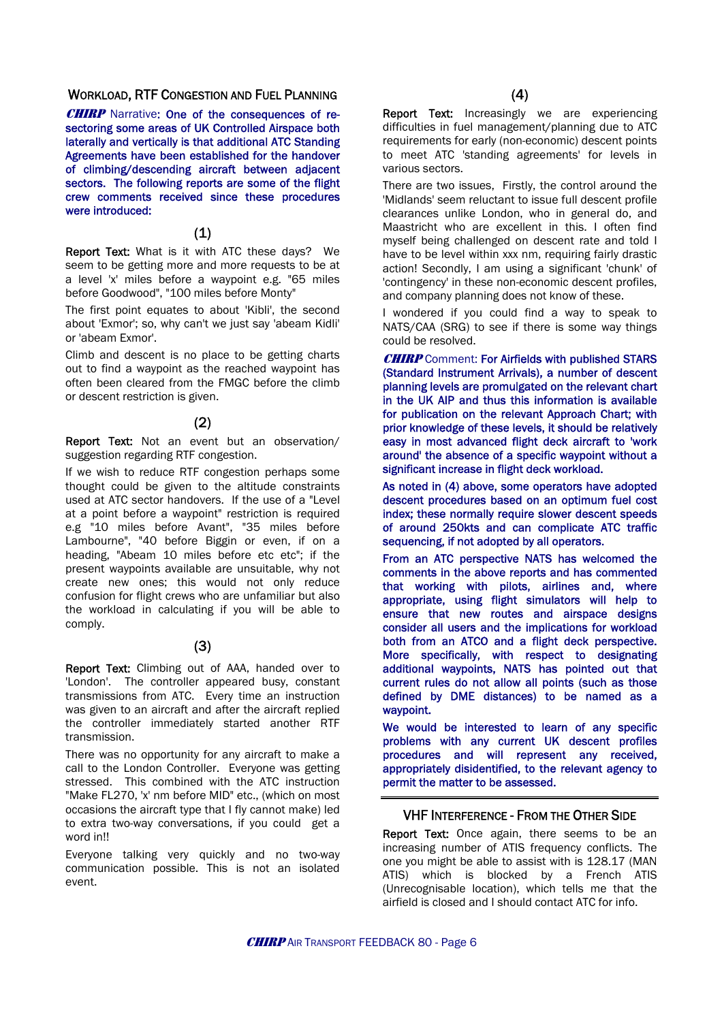#### WORKLOAD, RTF CONGESTION AND FUEL PLANNING

**CHIRP** Narrative: One of the consequences of resectoring some areas of UK Controlled Airspace both laterally and vertically is that additional ATC Standing Agreements have been established for the handover of climbing/descending aircraft between adjacent sectors. The following reports are some of the flight crew comments received since these procedures were introduced:

#### (1)

Report Text: What is it with ATC these days? We seem to be getting more and more requests to be at a level 'x' miles before a waypoint e.g. "65 miles before Goodwood", "100 miles before Monty"

The first point equates to about 'Kibli', the second about 'Exmor'; so, why can't we just say 'abeam Kidli' or 'abeam Exmor'.

Climb and descent is no place to be getting charts out to find a waypoint as the reached waypoint has often been cleared from the FMGC before the climb or descent restriction is given.

#### (2)

Report Text: Not an event but an observation/ suggestion regarding RTF congestion.

If we wish to reduce RTF congestion perhaps some thought could be given to the altitude constraints used at ATC sector handovers. If the use of a "Level at a point before a waypoint" restriction is required e.g "10 miles before Avant", "35 miles before Lambourne", "40 before Biggin or even, if on a heading, "Abeam 10 miles before etc etc"; if the present waypoints available are unsuitable, why not create new ones; this would not only reduce confusion for flight crews who are unfamiliar but also the workload in calculating if you will be able to comply.

#### (3)

Report Text: Climbing out of AAA, handed over to 'London'. The controller appeared busy, constant transmissions from ATC. Every time an instruction was given to an aircraft and after the aircraft replied the controller immediately started another RTF transmission.

There was no opportunity for any aircraft to make a call to the London Controller. Everyone was getting stressed. This combined with the ATC instruction "Make FL270, 'x' nm before MID" etc., (which on most occasions the aircraft type that I fly cannot make) led to extra two-way conversations, if you could get a word in!!

Everyone talking very quickly and no two-way communication possible. This is not an isolated event.

Report Text: Increasingly we are experiencing difficulties in fuel management/planning due to ATC requirements for early (non-economic) descent points to meet ATC 'standing agreements' for levels in various sectors.

There are two issues, Firstly, the control around the 'Midlands' seem reluctant to issue full descent profile clearances unlike London, who in general do, and Maastricht who are excellent in this. I often find myself being challenged on descent rate and told I have to be level within xxx nm, requiring fairly drastic action! Secondly, I am using a significant 'chunk' of 'contingency' in these non-economic descent profiles, and company planning does not know of these.

I wondered if you could find a way to speak to NATS/CAA (SRG) to see if there is some way things could be resolved.

**CHIRP** Comment: For Airfields with published STARS (Standard Instrument Arrivals), a number of descent planning levels are promulgated on the relevant chart in the UK AIP and thus this information is available for publication on the relevant Approach Chart; with prior knowledge of these levels, it should be relatively easy in most advanced flight deck aircraft to 'work around' the absence of a specific waypoint without a significant increase in flight deck workload.

As noted in (4) above, some operators have adopted descent procedures based on an optimum fuel cost index; these normally require slower descent speeds of around 250kts and can complicate ATC traffic sequencing, if not adopted by all operators.

From an ATC perspective NATS has welcomed the comments in the above reports and has commented that working with pilots, airlines and, where appropriate, using flight simulators will help to ensure that new routes and airspace designs consider all users and the implications for workload both from an ATCO and a flight deck perspective. More specifically, with respect to designating additional waypoints, NATS has pointed out that current rules do not allow all points (such as those defined by DME distances) to be named as a waypoint.

We would be interested to learn of any specific problems with any current UK descent profiles procedures and will represent any received, appropriately disidentified, to the relevant agency to permit the matter to be assessed.

#### VHF INTERFERENCE - FROM THE OTHER SIDE

Report Text: Once again, there seems to be an increasing number of ATIS frequency conflicts. The one you might be able to assist with is 128.17 (MAN ATIS) which is blocked by a French ATIS (Unrecognisable location), which tells me that the airfield is closed and I should contact ATC for info.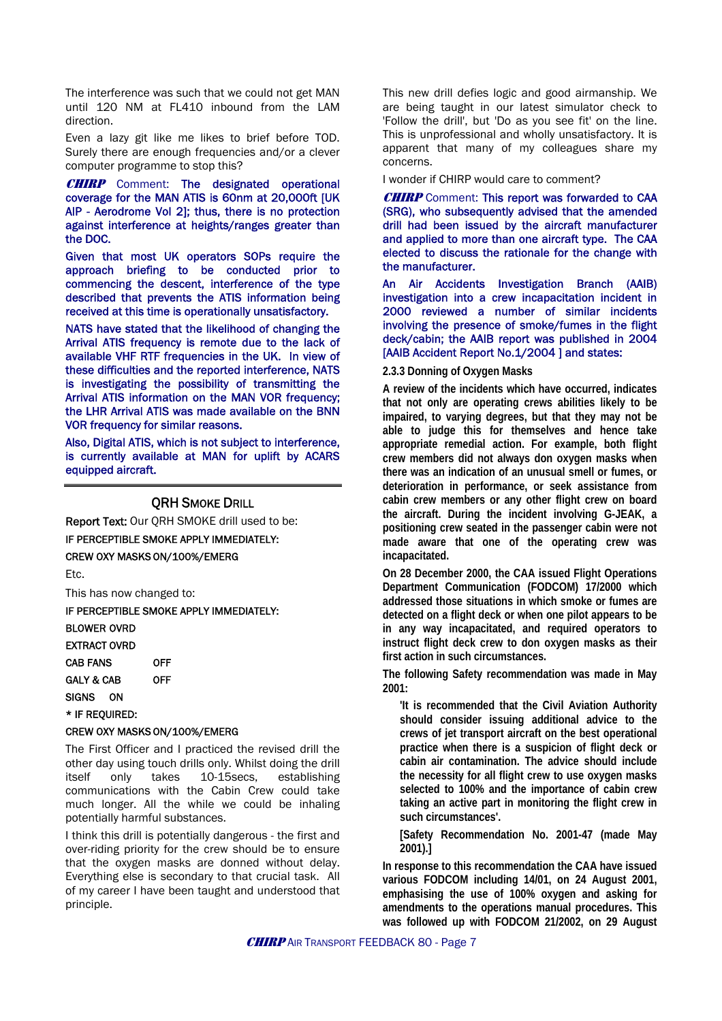The interference was such that we could not get MAN until 120 NM at FL410 inbound from the LAM direction.

Even a lazy git like me likes to brief before TOD. Surely there are enough frequencies and/or a clever computer programme to stop this?

**CHIRP** Comment: The designated operational coverage for the MAN ATIS is 60nm at 20,000ft [UK AIP - Aerodrome Vol 2]; thus, there is no protection against interference at heights/ranges greater than the DOC.

Given that most UK operators SOPs require the approach briefing to be conducted prior to commencing the descent, interference of the type described that prevents the ATIS information being received at this time is operationally unsatisfactory.

NATS have stated that the likelihood of changing the Arrival ATIS frequency is remote due to the lack of available VHF RTF frequencies in the UK. In view of these difficulties and the reported interference, NATS is investigating the possibility of transmitting the Arrival ATIS information on the MAN VOR frequency; the LHR Arrival ATIS was made available on the BNN VOR frequency for similar reasons.

Also, Digital ATIS, which is not subject to interference, is currently available at MAN for uplift by ACARS equipped aircraft.

#### **ORH SMOKE DRILL**

Report Text: Our QRH SMOKE drill used to be:

IF PERCEPTIBLE SMOKE APPLY IMMEDIATELY:

CREW OXY MASKS ON/100%/EMERG

Etc.

This has now changed to:

IF PERCEPTIBLE SMOKE APPLY IMMEDIATELY:

BLOWER OVRD

EXTRACT OVRD

CAB FANS OFF GALY & CAB OFF

SIGNS ON

\* IF REQUIRED:

#### CREW OXY MASKS ON/100%/EMERG

The First Officer and I practiced the revised drill the other day using touch drills only. Whilst doing the drill itself only takes 10-15secs, establishing communications with the Cabin Crew could take much longer. All the while we could be inhaling potentially harmful substances.

I think this drill is potentially dangerous - the first and over-riding priority for the crew should be to ensure that the oxygen masks are donned without delay. Everything else is secondary to that crucial task. All of my career I have been taught and understood that principle.

This new drill defies logic and good airmanship. We are being taught in our latest simulator check to 'Follow the drill', but 'Do as you see fit' on the line. This is unprofessional and wholly unsatisfactory. It is apparent that many of my colleagues share my concerns.

I wonder if CHIRP would care to comment?

**CHIRP** Comment: This report was forwarded to CAA (SRG), who subsequently advised that the amended drill had been issued by the aircraft manufacturer and applied to more than one aircraft type. The CAA elected to discuss the rationale for the change with the manufacturer.

An Air Accidents Investigation Branch (AAIB) investigation into a crew incapacitation incident in 2000 reviewed a number of similar incidents involving the presence of smoke/fumes in the flight deck/cabin; the AAIB report was published in 2004 [AAIB Accident Report No.1/2004 ] and states:

#### **2.3.3 Donning of Oxygen Masks**

**A review of the incidents which have occurred, indicates that not only are operating crews abilities likely to be impaired, to varying degrees, but that they may not be able to judge this for themselves and hence take appropriate remedial action. For example, both flight crew members did not always don oxygen masks when there was an indication of an unusual smell or fumes, or deterioration in performance, or seek assistance from cabin crew members or any other flight crew on board the aircraft. During the incident involving G-JEAK, a positioning crew seated in the passenger cabin were not made aware that one of the operating crew was incapacitated.** 

**On 28 December 2000, the CAA issued Flight Operations Department Communication (FODCOM) 17/2000 which addressed those situations in which smoke or fumes are detected on a flight deck or when one pilot appears to be in any way incapacitated, and required operators to instruct flight deck crew to don oxygen masks as their first action in such circumstances.** 

**The following Safety recommendation was made in May 2001:** 

**'It is recommended that the Civil Aviation Authority should consider issuing additional advice to the crews of jet transport aircraft on the best operational practice when there is a suspicion of flight deck or cabin air contamination. The advice should include the necessity for all flight crew to use oxygen masks selected to 100% and the importance of cabin crew taking an active part in monitoring the flight crew in such circumstances'.** 

**[Safety Recommendation No. 2001-47 (made May 2001).]** 

**In response to this recommendation the CAA have issued various FODCOM including 14/01, on 24 August 2001, emphasising the use of 100% oxygen and asking for amendments to the operations manual procedures. This was followed up with FODCOM 21/2002, on 29 August**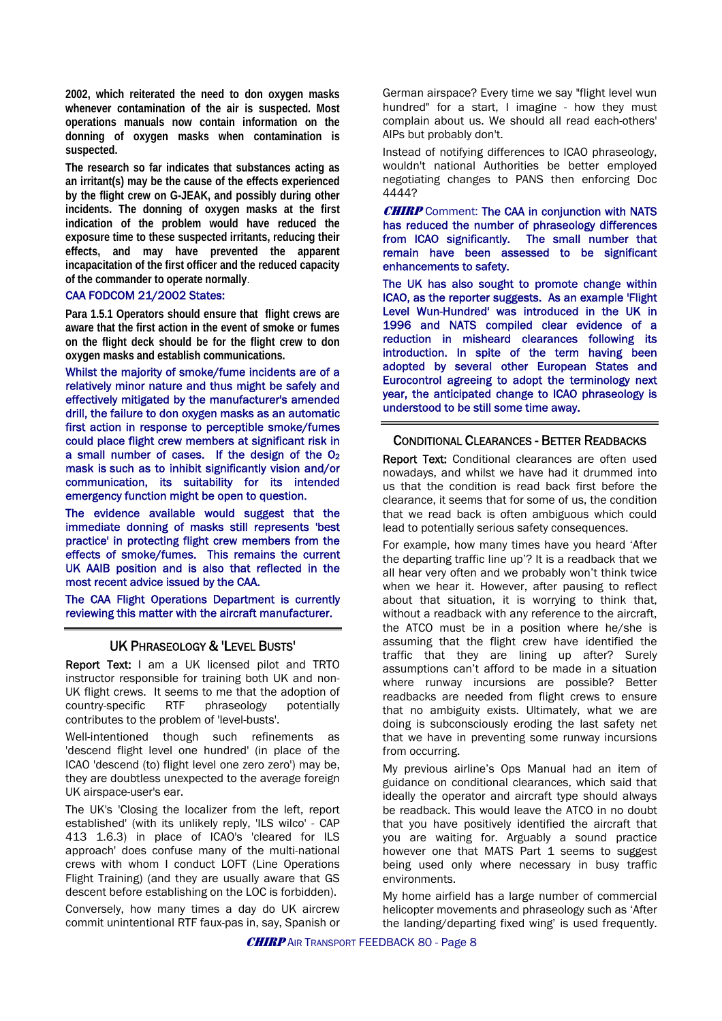**2002, which reiterated the need to don oxygen masks whenever contamination of the air is suspected. Most operations manuals now contain information on the donning of oxygen masks when contamination is suspected.** 

**The research so far indicates that substances acting as an irritant(s) may be the cause of the effects experienced by the flight crew on G-JEAK, and possibly during other incidents. The donning of oxygen masks at the first indication of the problem would have reduced the exposure time to these suspected irritants, reducing their effects, and may have prevented the apparent incapacitation of the first officer and the reduced capacity of the commander to operate normally**.

#### CAA FODCOM 21/2002 States:

**Para 1.5.1 Operators should ensure that flight crews are aware that the first action in the event of smoke or fumes on the flight deck should be for the flight crew to don oxygen masks and establish communications.** 

Whilst the majority of smoke/fume incidents are of a relatively minor nature and thus might be safely and effectively mitigated by the manufacturer's amended drill, the failure to don oxygen masks as an automatic first action in response to perceptible smoke/fumes could place flight crew members at significant risk in a small number of cases. If the design of the O2 mask is such as to inhibit significantly vision and/or communication, its suitability for its intended emergency function might be open to question.

The evidence available would suggest that the immediate donning of masks still represents 'best practice' in protecting flight crew members from the effects of smoke/fumes. This remains the current UK AAIB position and is also that reflected in the most recent advice issued by the CAA.

The CAA Flight Operations Department is currently reviewing this matter with the aircraft manufacturer.

#### UK PHRASEOLOGY & 'LEVEL BUSTS'

Report Text: I am a UK licensed pilot and TRTO instructor responsible for training both UK and non-UK flight crews. It seems to me that the adoption of country-specific RTF phraseology potentially contributes to the problem of 'level-busts'.

Well-intentioned though such refinements as 'descend flight level one hundred' (in place of the ICAO 'descend (to) flight level one zero zero') may be, they are doubtless unexpected to the average foreign UK airspace-user's ear.

The UK's 'Closing the localizer from the left, report established' (with its unlikely reply, 'ILS wilco' - CAP 413 1.6.3) in place of ICAO's 'cleared for ILS approach' does confuse many of the multi-national crews with whom I conduct LOFT (Line Operations Flight Training) (and they are usually aware that GS descent before establishing on the LOC is forbidden).

Conversely, how many times a day do UK aircrew commit unintentional RTF faux-pas in, say, Spanish or

German airspace? Every time we say "flight level wun hundred" for a start, I imagine - how they must complain about us. We should all read each-others' AIPs but probably don't.

Instead of notifying differences to ICAO phraseology, wouldn't national Authorities be better employed negotiating changes to PANS then enforcing Doc 4444?

**CHIRP** Comment: The CAA in conjunction with NATS has reduced the number of phraseology differences from ICAO significantly. The small number that remain have been assessed to be significant enhancements to safety.

The UK has also sought to promote change within ICAO, as the reporter suggests. As an example 'Flight Level Wun-Hundred' was introduced in the UK in 1996 and NATS compiled clear evidence of a reduction in misheard clearances following its introduction. In spite of the term having been adopted by several other European States and Eurocontrol agreeing to adopt the terminology next year, the anticipated change to ICAO phraseology is understood to be still some time away.

#### CONDITIONAL CLEARANCES - BETTER READBACKS

Report Text: Conditional clearances are often used nowadays, and whilst we have had it drummed into us that the condition is read back first before the clearance, it seems that for some of us, the condition that we read back is often ambiguous which could lead to potentially serious safety consequences.

For example, how many times have you heard 'After the departing traffic line up'? It is a readback that we all hear very often and we probably won't think twice when we hear it. However, after pausing to reflect about that situation, it is worrying to think that, without a readback with any reference to the aircraft, the ATCO must be in a position where he/she is assuming that the flight crew have identified the traffic that they are lining up after? Surely assumptions can't afford to be made in a situation where runway incursions are possible? Better readbacks are needed from flight crews to ensure that no ambiguity exists. Ultimately, what we are doing is subconsciously eroding the last safety net that we have in preventing some runway incursions from occurring.

My previous airline's Ops Manual had an item of guidance on conditional clearances, which said that ideally the operator and aircraft type should always be readback. This would leave the ATCO in no doubt that you have positively identified the aircraft that you are waiting for. Arguably a sound practice however one that MATS Part 1 seems to suggest being used only where necessary in busy traffic environments.

My home airfield has a large number of commercial helicopter movements and phraseology such as 'After the landing/departing fixed wing' is used frequently.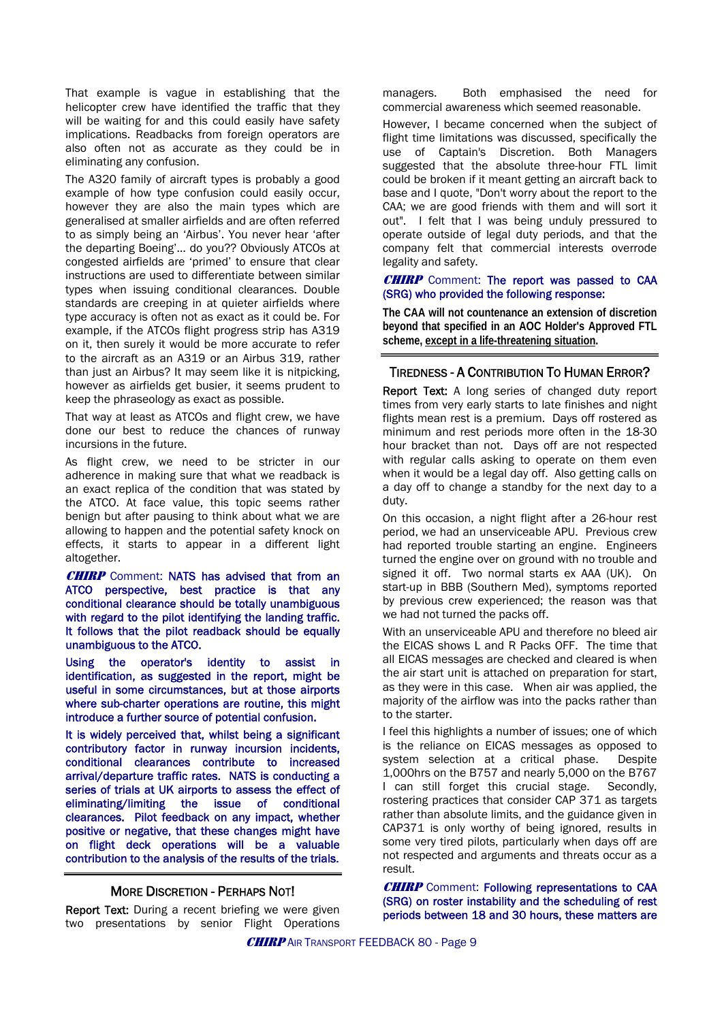That example is vague in establishing that the helicopter crew have identified the traffic that they will be waiting for and this could easily have safety implications. Readbacks from foreign operators are also often not as accurate as they could be in eliminating any confusion.

The A320 family of aircraft types is probably a good example of how type confusion could easily occur, however they are also the main types which are generalised at smaller airfields and are often referred to as simply being an 'Airbus'. You never hear 'after the departing Boeing'… do you?? Obviously ATCOs at congested airfields are 'primed' to ensure that clear instructions are used to differentiate between similar types when issuing conditional clearances. Double standards are creeping in at quieter airfields where type accuracy is often not as exact as it could be. For example, if the ATCOs flight progress strip has A319 on it, then surely it would be more accurate to refer to the aircraft as an A319 or an Airbus 319, rather than just an Airbus? It may seem like it is nitpicking. however as airfields get busier, it seems prudent to keep the phraseology as exact as possible.

That way at least as ATCOs and flight crew, we have done our best to reduce the chances of runway incursions in the future.

As flight crew, we need to be stricter in our adherence in making sure that what we readback is an exact replica of the condition that was stated by the ATCO. At face value, this topic seems rather benign but after pausing to think about what we are allowing to happen and the potential safety knock on effects, it starts to appear in a different light altogether.

**CHIRP** Comment: NATS has advised that from an ATCO perspective, best practice is that any conditional clearance should be totally unambiguous with regard to the pilot identifying the landing traffic. It follows that the pilot readback should be equally unambiguous to the ATCO.

Using the operator's identity to assist in identification, as suggested in the report, might be useful in some circumstances, but at those airports where sub-charter operations are routine, this might introduce a further source of potential confusion.

It is widely perceived that, whilst being a significant contributory factor in runway incursion incidents, conditional clearances contribute to increased arrival/departure traffic rates. NATS is conducting a series of trials at UK airports to assess the effect of eliminating/limiting the issue of conditional clearances. Pilot feedback on any impact, whether positive or negative, that these changes might have on flight deck operations will be a valuable contribution to the analysis of the results of the trials.

#### MORE DISCRETION - PERHAPS NOT!

Report Text: During a recent briefing we were given two presentations by senior Flight Operations managers. Both emphasised the need for commercial awareness which seemed reasonable.

However, I became concerned when the subject of flight time limitations was discussed, specifically the use of Captain's Discretion. Both Managers suggested that the absolute three-hour FTL limit could be broken if it meant getting an aircraft back to base and I quote, "Don't worry about the report to the CAA; we are good friends with them and will sort it out". I felt that I was being unduly pressured to operate outside of legal duty periods, and that the company felt that commercial interests overrode legality and safety.

#### **CHIRP** Comment: The report was passed to CAA (SRG) who provided the following response:

**The CAA will not countenance an extension of discretion beyond that specified in an AOC Holder's Approved FTL scheme, except in a life-threatening situation.** 

#### TIREDNESS - A CONTRIBUTION TO HUMAN ERROR?

Report Text: A long series of changed duty report times from very early starts to late finishes and night flights mean rest is a premium. Days off rostered as minimum and rest periods more often in the 18-30 hour bracket than not. Days off are not respected with regular calls asking to operate on them even when it would be a legal day off. Also getting calls on a day off to change a standby for the next day to a duty.

On this occasion, a night flight after a 26-hour rest period, we had an unserviceable APU. Previous crew had reported trouble starting an engine. Engineers turned the engine over on ground with no trouble and signed it off. Two normal starts ex AAA (UK). On start-up in BBB (Southern Med), symptoms reported by previous crew experienced; the reason was that we had not turned the packs off.

With an unserviceable APU and therefore no bleed air the EICAS shows L and R Packs OFF. The time that all EICAS messages are checked and cleared is when the air start unit is attached on preparation for start, as they were in this case. When air was applied, the majority of the airflow was into the packs rather than to the starter.

I feel this highlights a number of issues; one of which is the reliance on EICAS messages as opposed to system selection at a critical phase. Despite 1,000hrs on the B757 and nearly 5,000 on the B767 I can still forget this crucial stage. Secondly, rostering practices that consider CAP 371 as targets rather than absolute limits, and the guidance given in CAP371 is only worthy of being ignored, results in some very tired pilots, particularly when days off are not respected and arguments and threats occur as a result.

CHIRP Comment: Following representations to CAA (SRG) on roster instability and the scheduling of rest periods between 18 and 30 hours, these matters are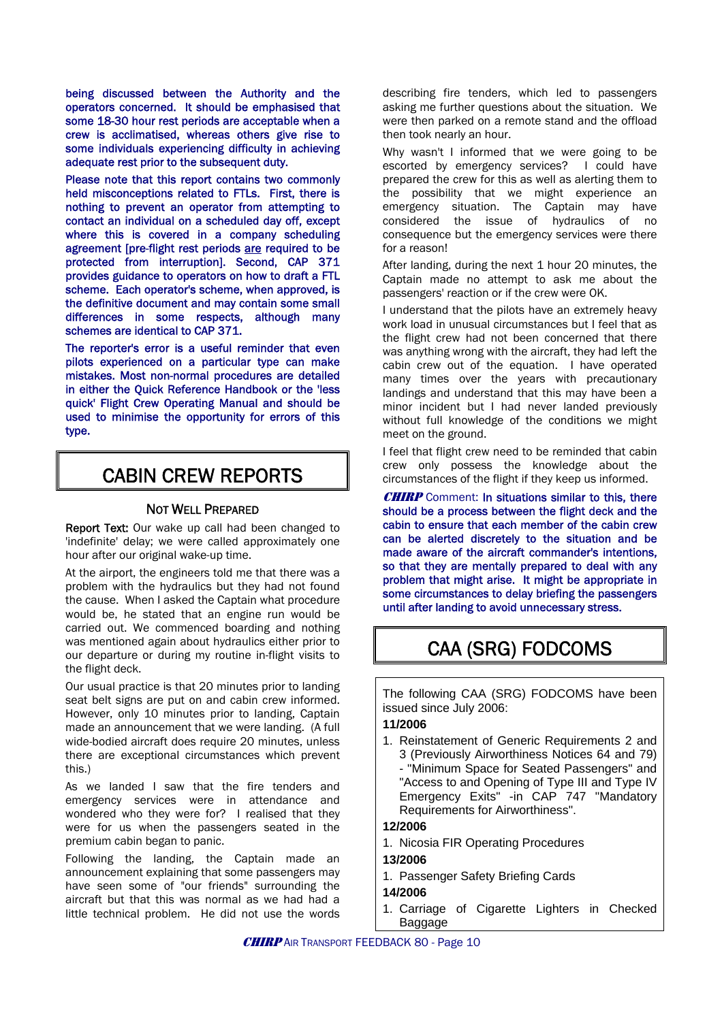being discussed between the Authority and the operators concerned. It should be emphasised that some 18-30 hour rest periods are acceptable when a crew is acclimatised, whereas others give rise to some individuals experiencing difficulty in achieving adequate rest prior to the subsequent duty.

Please note that this report contains two commonly held misconceptions related to FTLs. First, there is nothing to prevent an operator from attempting to contact an individual on a scheduled day off, except where this is covered in a company scheduling agreement [pre-flight rest periods are required to be protected from interruption]. Second, CAP 371 provides guidance to operators on how to draft a FTL scheme. Each operator's scheme, when approved, is the definitive document and may contain some small differences in some respects, although many schemes are identical to CAP 371.

The reporter's error is a useful reminder that even pilots experienced on a particular type can make mistakes. Most non-normal procedures are detailed in either the Quick Reference Handbook or the 'less quick' Flight Crew Operating Manual and should be used to minimise the opportunity for errors of this type.

### CABIN CREW REPORTS

#### NOT WELL PREPARED

Report Text: Our wake up call had been changed to 'indefinite' delay; we were called approximately one hour after our original wake-up time.

At the airport, the engineers told me that there was a problem with the hydraulics but they had not found the cause. When I asked the Captain what procedure would be, he stated that an engine run would be carried out. We commenced boarding and nothing was mentioned again about hydraulics either prior to our departure or during my routine in-flight visits to the flight deck.

Our usual practice is that 20 minutes prior to landing seat belt signs are put on and cabin crew informed. However, only 10 minutes prior to landing, Captain made an announcement that we were landing. (A full wide-bodied aircraft does require 20 minutes, unless there are exceptional circumstances which prevent this.)

As we landed I saw that the fire tenders and emergency services were in attendance and wondered who they were for? I realised that they were for us when the passengers seated in the premium cabin began to panic.

Following the landing, the Captain made an announcement explaining that some passengers may have seen some of "our friends" surrounding the aircraft but that this was normal as we had had a little technical problem. He did not use the words

describing fire tenders, which led to passengers asking me further questions about the situation. We were then parked on a remote stand and the offload then took nearly an hour.

Why wasn't I informed that we were going to be escorted by emergency services? I could have prepared the crew for this as well as alerting them to the possibility that we might experience an emergency situation. The Captain may have considered the issue of hydraulics of no consequence but the emergency services were there for a reason!

After landing, during the next 1 hour 20 minutes, the Captain made no attempt to ask me about the passengers' reaction or if the crew were OK.

I understand that the pilots have an extremely heavy work load in unusual circumstances but I feel that as the flight crew had not been concerned that there was anything wrong with the aircraft, they had left the cabin crew out of the equation. I have operated many times over the years with precautionary landings and understand that this may have been a minor incident but I had never landed previously without full knowledge of the conditions we might meet on the ground.

I feel that flight crew need to be reminded that cabin crew only possess the knowledge about the circumstances of the flight if they keep us informed.

**CHIRP** Comment: In situations similar to this, there should be a process between the flight deck and the cabin to ensure that each member of the cabin crew can be alerted discretely to the situation and be made aware of the aircraft commander's intentions, so that they are mentally prepared to deal with any problem that might arise. It might be appropriate in some circumstances to delay briefing the passengers until after landing to avoid unnecessary stress.

# CAA (SRG) FODCOMS

The following CAA (SRG) FODCOMS have been issued since July 2006:

#### **11/2006**

1. Reinstatement of Generic Requirements 2 and 3 (Previously Airworthiness Notices 64 and 79) "Minimum Space for Seated Passengers" and "Access to and Opening of Type III and Type IV Emergency Exits" -in CAP 747 "Mandatory Requirements for Airworthiness".

#### **12/2006**

- 1. Nicosia FIR Operating Procedures
- **13/2006**
- 1. Passenger Safety Briefing Cards

#### **14/2006**

1. Carriage of Cigarette Lighters in Checked Baggage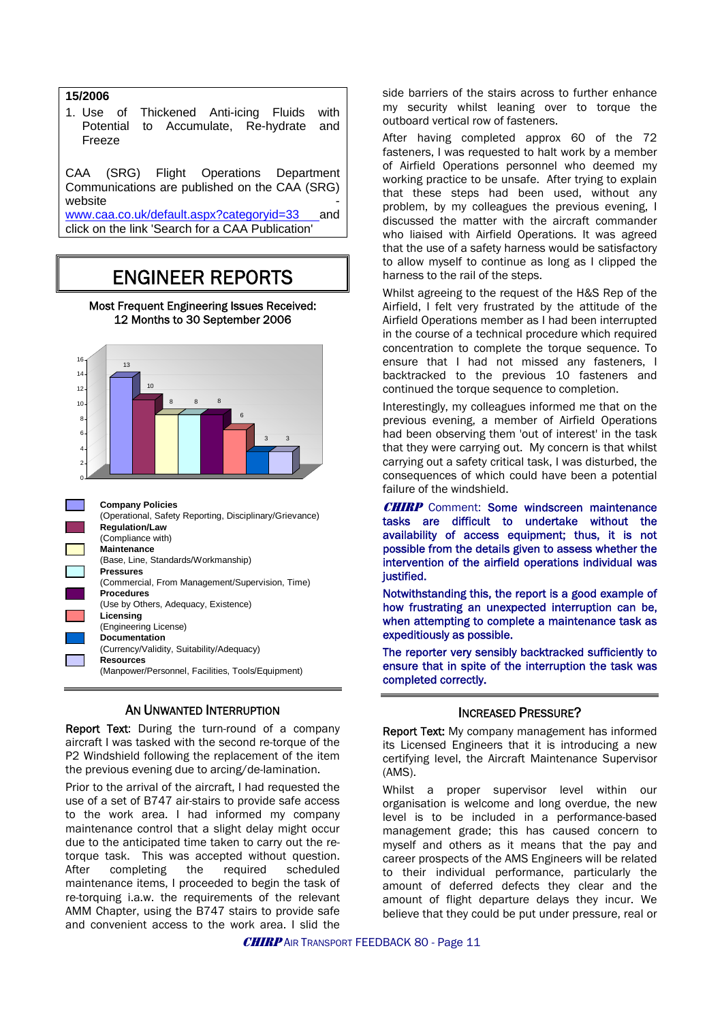#### **15/2006**

1. Use of Thickened Anti-icing Fluids with Potential to Accumulate, Re-hydrate and Freeze

CAA (SRG) Flight Operations Department Communications are published on the CAA (SRG) website

[www.caa.co.uk/default.aspx?categoryid=33](http://www.caa.co.uk/default.aspx?categoryid=33) and click on the link 'Search for a CAA Publication'

## ENGINEER REPORTS

Most Frequent Engineering Issues Received: 12 Months to 30 September 2006





#### AN UNWANTED INTERRUPTION

Report Text: During the turn-round of a company aircraft I was tasked with the second re-torque of the P2 Windshield following the replacement of the item the previous evening due to arcing/de-lamination.

Prior to the arrival of the aircraft, I had requested the use of a set of B747 air-stairs to provide safe access to the work area. I had informed my company maintenance control that a slight delay might occur due to the anticipated time taken to carry out the retorque task. This was accepted without question. After completing the required scheduled maintenance items, I proceeded to begin the task of re-torquing i.a.w. the requirements of the relevant AMM Chapter, using the B747 stairs to provide safe and convenient access to the work area. I slid the

side barriers of the stairs across to further enhance my security whilst leaning over to torque the outboard vertical row of fasteners.

After having completed approx 60 of the 72 fasteners, I was requested to halt work by a member of Airfield Operations personnel who deemed my working practice to be unsafe. After trying to explain that these steps had been used, without any problem, by my colleagues the previous evening, I discussed the matter with the aircraft commander who liaised with Airfield Operations. It was agreed that the use of a safety harness would be satisfactory to allow myself to continue as long as I clipped the harness to the rail of the steps.

Whilst agreeing to the request of the H&S Rep of the Airfield, I felt very frustrated by the attitude of the Airfield Operations member as I had been interrupted in the course of a technical procedure which required concentration to complete the torque sequence. To ensure that I had not missed any fasteners, I backtracked to the previous 10 fasteners and continued the torque sequence to completion.

Interestingly, my colleagues informed me that on the previous evening, a member of Airfield Operations had been observing them 'out of interest' in the task that they were carrying out. My concern is that whilst carrying out a safety critical task, I was disturbed, the consequences of which could have been a potential failure of the windshield.

**CHIRP** Comment: Some windscreen maintenance tasks are difficult to undertake without the availability of access equipment; thus, it is not possible from the details given to assess whether the intervention of the airfield operations individual was justified.

Notwithstanding this, the report is a good example of how frustrating an unexpected interruption can be, when attempting to complete a maintenance task as expeditiously as possible.

The reporter very sensibly backtracked sufficiently to ensure that in spite of the interruption the task was completed correctly.

#### INCREASED PRESSURE?

Report Text: My company management has informed its Licensed Engineers that it is introducing a new certifying level, the Aircraft Maintenance Supervisor (AMS).

Whilst a proper supervisor level within our organisation is welcome and long overdue, the new level is to be included in a performance-based management grade; this has caused concern to myself and others as it means that the pay and career prospects of the AMS Engineers will be related to their individual performance, particularly the amount of deferred defects they clear and the amount of flight departure delays they incur. We believe that they could be put under pressure, real or